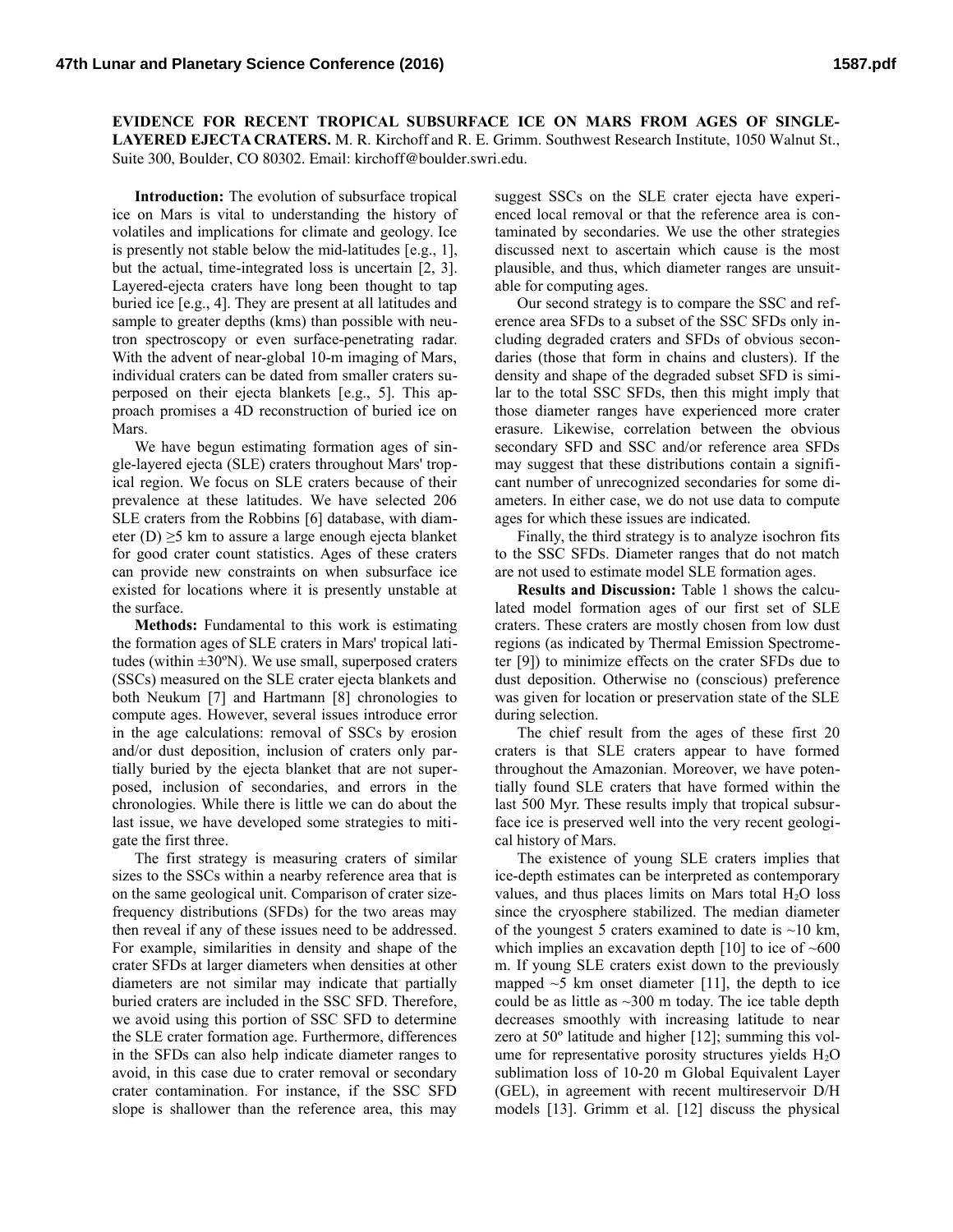**EVIDENCE FOR RECENT TROPICAL SUBSURFACE ICE ON MARS FROM AGES OF SINGLE-LAYERED EJECTA CRATERS.** M. R. Kirchoff and R. E. Grimm. Southwest Research Institute, 1050 Walnut St., Suite 300, Boulder, CO 80302. Email: kirchoff@boulder.swri.edu.

**Introduction:** The evolution of subsurface tropical ice on Mars is vital to understanding the history of volatiles and implications for climate and geology. Ice is presently not stable below the mid-latitudes [e.g., 1], but the actual, time-integrated loss is uncertain [2, 3]. Layered-ejecta craters have long been thought to tap buried ice [e.g., 4]. They are present at all latitudes and sample to greater depths (kms) than possible with neutron spectroscopy or even surface-penetrating radar. With the advent of near-global 10-m imaging of Mars, individual craters can be dated from smaller craters superposed on their ejecta blankets [e.g., 5]. This approach promises a 4D reconstruction of buried ice on Mars.

We have begun estimating formation ages of single-layered ejecta (SLE) craters throughout Mars' tropical region. We focus on SLE craters because of their prevalence at these latitudes. We have selected 206 SLE craters from the Robbins [6] database, with diameter (D)  $\geq$ 5 km to assure a large enough ejecta blanket for good crater count statistics. Ages of these craters can provide new constraints on when subsurface ice existed for locations where it is presently unstable at the surface.

**Methods:** Fundamental to this work is estimating the formation ages of SLE craters in Mars' tropical latitudes (within  $\pm 30^{\circ}$ N). We use small, superposed craters (SSCs) measured on the SLE crater ejecta blankets and both Neukum [7] and Hartmann [8] chronologies to compute ages. However, several issues introduce error in the age calculations: removal of SSCs by erosion and/or dust deposition, inclusion of craters only partially buried by the ejecta blanket that are not superposed, inclusion of secondaries, and errors in the chronologies. While there is little we can do about the last issue, we have developed some strategies to mitigate the first three.

The first strategy is measuring craters of similar sizes to the SSCs within a nearby reference area that is on the same geological unit. Comparison of crater sizefrequency distributions (SFDs) for the two areas may then reveal if any of these issues need to be addressed. For example, similarities in density and shape of the crater SFDs at larger diameters when densities at other diameters are not similar may indicate that partially buried craters are included in the SSC SFD. Therefore, we avoid using this portion of SSC SFD to determine the SLE crater formation age. Furthermore, differences in the SFDs can also help indicate diameter ranges to avoid, in this case due to crater removal or secondary crater contamination. For instance, if the SSC SFD slope is shallower than the reference area, this may

suggest SSCs on the SLE crater ejecta have experienced local removal or that the reference area is contaminated by secondaries. We use the other strategies discussed next to ascertain which cause is the most plausible, and thus, which diameter ranges are unsuitable for computing ages.

Our second strategy is to compare the SSC and reference area SFDs to a subset of the SSC SFDs only including degraded craters and SFDs of obvious secondaries (those that form in chains and clusters). If the density and shape of the degraded subset SFD is similar to the total SSC SFDs, then this might imply that those diameter ranges have experienced more crater erasure. Likewise, correlation between the obvious secondary SFD and SSC and/or reference area SFDs may suggest that these distributions contain a significant number of unrecognized secondaries for some diameters. In either case, we do not use data to compute ages for which these issues are indicated.

Finally, the third strategy is to analyze isochron fits to the SSC SFDs. Diameter ranges that do not match are not used to estimate model SLE formation ages.

**Results and Discussion:** Table 1 shows the calculated model formation ages of our first set of SLE craters. These craters are mostly chosen from low dust regions (as indicated by Thermal Emission Spectrometer [9]) to minimize effects on the crater SFDs due to dust deposition. Otherwise no (conscious) preference was given for location or preservation state of the SLE during selection.

The chief result from the ages of these first 20 craters is that SLE craters appear to have formed throughout the Amazonian. Moreover, we have potentially found SLE craters that have formed within the last 500 Myr. These results imply that tropical subsurface ice is preserved well into the very recent geological history of Mars.

The existence of young SLE craters implies that ice-depth estimates can be interpreted as contemporary values, and thus places limits on Mars total  $H_2O$  loss since the cryosphere stabilized. The median diameter of the youngest 5 craters examined to date is  $\sim$ 10 km, which implies an excavation depth  $[10]$  to ice of  $~600$ m. If young SLE craters exist down to the previously mapped  $\sim$ 5 km onset diameter [11], the depth to ice could be as little as  $\sim$ 300 m today. The ice table depth decreases smoothly with increasing latitude to near zero at 50º latitude and higher [12]; summing this volume for representative porosity structures yields  $H_2O$ sublimation loss of 10-20 m Global Equivalent Layer (GEL), in agreement with recent multireservoir D/H models [13]. Grimm et al. [12] discuss the physical